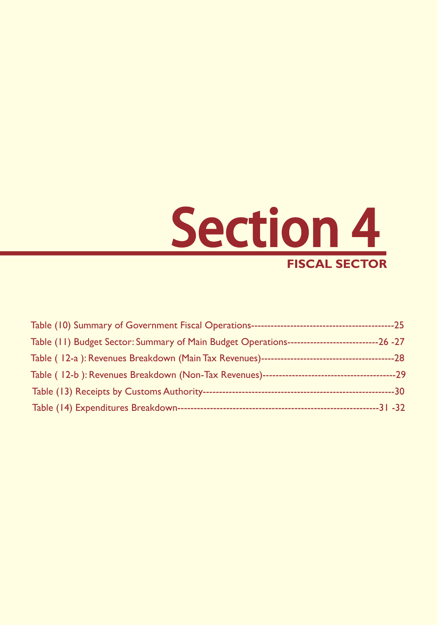

| ----30 |
|--------|
|        |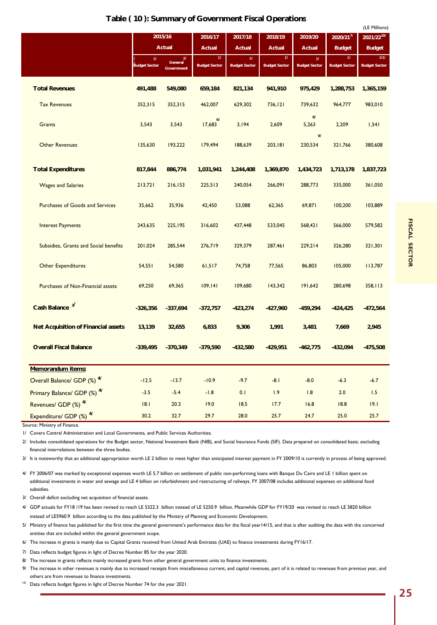## **Table ( 10 ): Summary of Government Fiscal Operations**

|                                            |                      |                       |                      |                      |                      |                      |                                          | (LE Millions)<br>2021/2210/ |  |
|--------------------------------------------|----------------------|-----------------------|----------------------|----------------------|----------------------|----------------------|------------------------------------------|-----------------------------|--|
|                                            |                      | 2015/16<br>Actual     | 2016/17<br>Actual    | 2017/18<br>Actual    | 2018/19<br>Actual    | 2019/20<br>Actual    | $2020/21$ <sup>7/</sup><br><b>Budget</b> | <b>Budget</b>               |  |
|                                            | 11                   | 2I                    | 11 <sub>1</sub>      | 11 <sub>1</sub>      | $\boldsymbol{\eta}$  | 11 <sub>1</sub>      | 11 <sub>1</sub>                          | 1/1/                        |  |
|                                            | <b>Budget Sector</b> | General<br>Government | <b>Budget Sector</b> | <b>Budget Sector</b> | <b>Budget Sector</b> | <b>Budget Sector</b> | <b>Budget Sector</b>                     | <b>Budget Sector</b>        |  |
| <b>Total Revenues</b>                      | 491,488              | 549,080               | 659,184              | 821,134              | 941,910              | 975,429              | 1,288,753                                | 1,365,159                   |  |
| <b>Tax Revenues</b>                        | 352,315              | 352,315               | 462,007              | 629,302              | 736, 121             | 739,632              | 964,777                                  | 983,010                     |  |
| Grants                                     | 3,543                | 3,543                 | 6/<br>17,683         | 3,194                | 2,609                | 8/<br>5,263          | 2,209                                    | 1,541                       |  |
| <b>Other Revenues</b>                      | 135,630              | 193,222               | 179,494              | 188,639              | 203,181              | 9/<br>230,534        | 321,766                                  | 380,608                     |  |
| <b>Total Expenditures</b>                  | 817,844              | 886,774               | 1,031,941            | 1,244,408            | 1,369,870            | 1,434,723            | 1,713,178                                | 1,837,723                   |  |
| <b>Wages and Salaries</b>                  | 213,721              | 216,153               | 225,513              | 240,054              | 266,091              | 288,773              | 335,000                                  | 361,050                     |  |
| <b>Purchases of Goods and Services</b>     | 35,662               | 35,936                | 42,450               | 53,088               | 62,365               | 69,871               | 100,200                                  | 103,889                     |  |
| <b>Interest Payments</b>                   | 243,635              | 225,195               | 316,602              | 437,448              | 533,045              | 568,421              | 566,000                                  | 579,582                     |  |
| Subsidies, Grants and Social benefits      | 201,024              | 285,544               | 276,719              | 329,379              | 287,461              | 229,214              | 326,280                                  | 321,301                     |  |
| <b>Other Expenditures</b>                  | 54,551               | 54,580                | 61,517               | 74,758               | 77,565               | 86,803               | 105,000                                  | 113,787                     |  |
| Purchases of Non-Financial assets          | 69,250               | 69,365                | 109, 141             | 109,680              | 143,342              | 191,642              | 280,698                                  | 358,113                     |  |
| Cash Balance <sup>3/</sup>                 | $-326,356$           | $-337,694$            | $-372,757$           | $-423,274$           | $-427,960$           | $-459,294$           | $-424, 425$                              | $-472,564$                  |  |
| <b>Net Acquisition of Financial assets</b> | 13,139               | 32,655                | 6,833                | 9,306                | 1,991                | 3,481                | 7,669                                    | 2,945                       |  |
| <b>Overall Fiscal Balance</b>              | $-339,495$           | $-370,349$            | $-379,590$           | $-432,580$           | $-429,951$           | $-462,775$           | $-432,094$                               | $-475,508$                  |  |
| Memorandum items:                          |                      |                       |                      |                      |                      |                      |                                          |                             |  |
| Overall Balance/ GDP (%) <sup>4/</sup>     | $-12.5$              | $-13.7$               | $-10.9$              | $-9.7$               | $-8.1$               | $-8.0$               | $-6.3$                                   | $-6.7$                      |  |
| Primary Balance/ GDP (%) 4/                | $-3.5$               | $-5.4$                | $-1.8$               | 0.1                  | 1.9                  | 1.8                  | 2.0                                      | 1.5                         |  |
| Revenues/ GDP (%) 4/                       | 18.1                 | 20.3                  | 19.0                 | 18.5                 | 17.7                 | 16.8                 | 18.8                                     | 19.1                        |  |
| Expenditure/ GDP (%) <sup>4/</sup>         | 30.2                 | 32.7                  | 29.7                 | 28.0                 | 25.7                 | 24.7                 | 25.0                                     | 25.7                        |  |

Source: Ministry of Finance.

1/ Covers Central Administration and Local Governments, and Public Services Authorities.

2/ Includes consolidated operations for the Budget sector, National Investment Bank (NIB), and Social Insurance Funds (SIF). Data prepared on consolidated basis; excluding financial interrelations between the three bodies.

3/ It is noteworthy that an additional appropriation worth LE 2 billion to meet higher than anticipated interest payment in FY 2009/10 is currently in process of being approved.

4/ FY 2006/07 was marked by exceptional expenses worth LE 5.7 billion on settlement of public non-performing loans with Banque Du Caire and LE 1 billion spent on additional investments in water and sewage and LE 4 billion on refurbishment and restructuring of railways. FY 2007/08 includes additional expenses on additional food subsidies.

3/ Overall deficit excluding net acquisition of financial assets.

4/ GDP actuals for FY18 /19 has been revised to reach LE 5322.3 billion instead of LE 5250.9 billion. Meanwhile GDP for FY19/20 was revised to reach LE 5820 billion instead of LE5960.9 billion according to the data published by the Ministry of Planning and Economic Development.

5/ Ministry of finance has published for the first time the general government's performance data for the fiscal year14/15, and that is after auditing the data with the concerned entities that are included within the general government scope.

6/ The increase in grants is mainly due to Capital Grants received from United Arab Emirates (UAE) to finance investments during FY16/17.

7/ Data reflects budget figures in light of Decree Number 85 for the year 2020.

8/ The increase in grants reflects mainly increased grants from other general government units to finance investments.

9/ The increase in other revenues is mainly due to increased receipts from miscellaneous current, and capital revenues, part of it is related to revenues from previous year, and others are from revenues to finance investments.

10/ Data reflects budget figures in light of Decree Number 74 for the year 2021.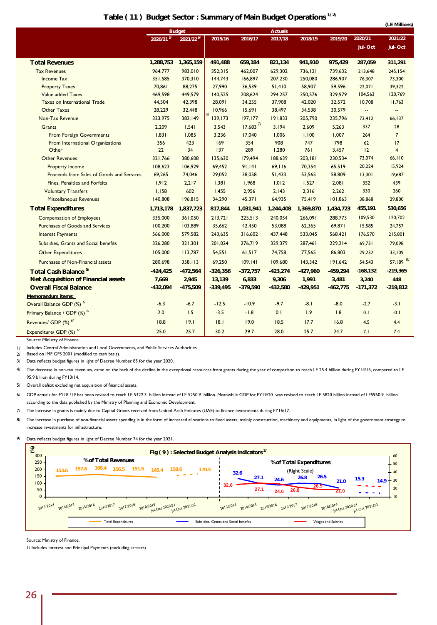|                                            |            |                       |            |                        |                |            |            |             | (LE Millions)            |  |
|--------------------------------------------|------------|-----------------------|------------|------------------------|----------------|------------|------------|-------------|--------------------------|--|
|                                            |            | <b>Budget</b>         |            |                        | <b>Actuals</b> |            |            |             |                          |  |
|                                            | 2020/21 3/ | 2021/22 <sup>9/</sup> | 2015/16    | 2016/17                | 2017/18        | 2018/19    | 2019/20    | 2020/21     | 2021/22                  |  |
|                                            |            |                       |            |                        |                |            |            | Jul-Oct     | Jul-Oct                  |  |
| <b>Total Revenues</b>                      | 1,288,753  | 1,365,159             | 491,488    | 659,184                | 821,134        | 941,910    | 975,429    | 287,059     | 311,291                  |  |
| <b>Tax Revenues</b>                        | 964,777    | 983,010               | 352,315    | 462,007                | 629,302        | 736,121    | 739,632    | 213,648     | 245,154                  |  |
| <b>Income Tax</b>                          | 351,585    | 370,310               | 144,743    | 166,897                | 207,230        | 250,080    | 286,907    | 76,307      | 73,300                   |  |
| <b>Property Taxes</b>                      | 70,861     | 88,275                | 27,990     | 36,539                 | 51,410         | 58,907     | 59,596     | 22,071      | 39,322                   |  |
| <b>Value added Taxes</b>                   | 469,598    | 449,579               | 140,525    | 208,624                | 294,257        | 350,576    | 329,979    | 104,563     | 120,769                  |  |
| <b>Taxes on International Trade</b>        | 44,504     | 42,398                | 28,091     | 34,255                 | 37,908         | 42,020     | 32,572     | 10,708      | 11,763                   |  |
| <b>Other Taxes</b>                         | 28,229     | 32,448                | 10,966     | 15,691                 | 38,497         | 34,538     | 30,579     | ц.          | $\overline{\phantom{a}}$ |  |
| Non-Tax Revenue                            | 323,975    | 382,149               | 139,173    | 197, 177               | 191,833        | 205,790    | 235,796    | 73,412      | 66,137                   |  |
| <b>Grants</b>                              | 2,209      | 1,541                 | 3,543      | $17,683$ <sup>7/</sup> | 3,194          | 2,609      | 5,263      | 337         | 28                       |  |
| <b>From Foreign Governments</b>            | 1,831      | 1,085                 | 3,236      | 17,040                 | 1,006          | 1,100      | 1,007      | 264         | $\overline{7}$           |  |
| From International Organizations           | 356        | 423                   | 169        | 354                    | 908            | 747        | 798        | 62          | 17                       |  |
| Other                                      | 22         | 34                    | 137        | 289                    | 1,280          | 761        | 3,457      | 12          | $\overline{4}$           |  |
| <b>Other Revenues</b>                      | 321,766    | 380,608               | 135,630    | 179,494                | 188,639        | 203,181    | 230,534    | 73,074      | 66,110                   |  |
| <b>Property Income</b>                     | 108,623    | 106,929               | 69,452     | 91,141                 | 69,116         | 70,354     | 65,519     | 20,224      | 15,924                   |  |
| Proceeds from Sales of Goods and Services  | 69,265     | 74,046                | 29,052     | 38,058                 | 51,433         | 53,565     | 58,809     | 13,301      | 19,687                   |  |
| <b>Fines, Penalties and Forfeits</b>       | 1,912      | 2,217                 | 1,381      | 1,968                  | 1,012          | 1,527      | 2,081      | 352         | 439                      |  |
| <b>Voluntary Transfers</b>                 | 1,158      | 602                   | 1,455      | 2,956                  | 2,143          | 2,316      | 2,262      | 330         | 260                      |  |
| <b>Miscellaneous Revenues</b>              | 140,808    | 196,815               | 34,290     | 45,371                 | 64,935         | 75,419     | 101,863    | 38,868      | 29,800                   |  |
| <b>Total Expenditures</b>                  | 1,713,178  | 1,837,723             | 817,844    | 1,031,941              | 1,244,408      | 1,369,870  | 1,434,723  | 455,191     | 530,656                  |  |
| <b>Compensation of Employees</b>           | 335,000    | 361,050               | 213,721    | 225,513                | 240,054        | 266,091    | 288,773    | 109,530     | 120,702                  |  |
| <b>Purchases of Goods and Services</b>     | 100,200    | 103,889               | 35,662     | 42,450                 | 53,088         | 62,365     | 69,871     | 15,585      | 24,757                   |  |
| <b>Interest Payments</b>                   | 566,000    | 579,582               | 243,635    | 316,602                | 437,448        | 533,045    | 568,421    | 176,570     | 215,801                  |  |
| Subsidies, Grants and Social benefits      | 326,280    | 321,301               | 201,024    | 276,719                | 329,379        | 287,461    | 229,214    | 69,731      | 79,098                   |  |
| <b>Other Expenditures</b>                  | 105,000    | 113,787               | 54,551     | 61,517                 | 74,758         | 77,565     | 86,803     | 29,232      | 33,109                   |  |
| <b>Purchases of Non-Financial assets</b>   | 280,698    | 358,113               | 69,250     | 109, 141               | 109,680        | 143,342    | 191,642    | 54,543      | 57,189 8/                |  |
| Total Cash Balance <sup>5/</sup>           | $-424,425$ | $-472,564$            | $-326,356$ | $-372,757$             | $-423,274$     | $-427,960$ | $-459,294$ | $-168, 132$ | $-219,365$               |  |
| <b>Net Acquisition of Financial assets</b> | 7,669      | 2,945                 | 13,139     | 6,833                  | 9,306          | 1,991      | 3,481      | 3,240       | 448                      |  |
| <b>Overall Fiscal Balance</b>              | $-432,094$ | $-475,509$            | $-339,495$ | $-379,590$             | $-432,580$     | $-429,951$ | $-462,775$ | $-171,372$  | $-219,812$               |  |
| Memorandum items:                          |            |                       |            |                        |                |            |            |             |                          |  |
| Overall Balance GDP (%) 6/                 | $-6.3$     | $-6.7$                | $-12.5$    | $-10.9$                | $-9.7$         | $-8.1$     | $-8.0$     | $-2.7$      | $-3.1$                   |  |
| Primary Balance / GDP (%) 6/               | 2.0        | 1.5                   | $-3.5$     | $-1.8$                 | 0.1            | 1.9        | 1.8        | 0.1         | $-0.1$                   |  |
| Revenues/ GDP (%) 6/                       | 18.8       | 19.1                  | 18.1       | 19.0                   | 18.5           | 17.7       | 16.8       | 4.5         | 4.4                      |  |
| Expenditure/ GDP (%) 6/                    | 25.0       | 25.7                  | 30.2       | 29.7                   | 28.0           | 25.7       | 24.7       | 7.1         | 7.4                      |  |
| Course: Ministry of Einanse                |            |                       |            |                        |                |            |            |             |                          |  |

## **Table ( 11 ) Budget Sector : Summary of Main Budget Operations 1/ 2/**

Source: Ministry of Finance.

1/ Includes Central Administration and Local Governments, and Public Services Authorities.

2/ Based on IMF GFS 2001 (modified to cash basis).

3/ Data reflects budget figures in light of Decree Number 85 for the year 2020.

4/ The decrease in non-tax revenues, came on the back of the decline in the exceptional resources from grants during the year of comparison to reach LE 25.4 billion during FY14/15, compared to LE 95.9 billion during FY13/14.

5/ Overall deficit excluding net acquisition of financial assets.

6/ GDP actuals for FY18 /19 has been revised to reach LE 5322.3 billion instead of LE 5250.9 billion. Meanwhile GDP for FY19/20 was revised to reach LE 5820 billion instead of LE5960.9 billion according to the data published by the Ministry of Planning and Economic Development.

7/ The increase in grants is mainly due to Capital Grants received from United Arab Emirates (UAE) to finance investments during FY16/17.

8/ The increase in purchase of non-financial assets spending is in the form of increased allocations to fixed assets, mainly construction, machinery and equipments, in light of the government strategy to increase investments for infrastructure.

9/ Data reflects budget figures in light of Decree Number 74 for the year 2021.

| % of Total Revenues<br>250<br>166.4<br>151.5<br>157.6<br>156.5<br>158.6<br>145.4<br>170.5<br>153.6<br><b>Contract Contract</b><br>100.<br>50. | % of Total Expenditures<br>(Right Scale)<br>32.6<br>26.5<br>27.1<br>26.8<br>15.3<br>24.6<br>$14.9 + 30$<br>21.0<br>32.6<br>26.5<br>27.1<br>26.8<br>24.6<br>21.0 |
|-----------------------------------------------------------------------------------------------------------------------------------------------|-----------------------------------------------------------------------------------------------------------------------------------------------------------------|
| 2013/2014 2014/2015 2015/2016 2016/2017 2017/2018 2018/2019 10:0ct 2020/21 12<br><b>Total Expenditures</b>                                    | 2013/2014 2014/2015 2015/2016 2016/2017 2017/2018 2018/2019 10:0ct 2020/21 2021/22<br>Subsidies, Grants and Social benefits<br><b>Wages and Salaries</b>        |

Source: Ministry of Finance.

1/ Includes Interest and Principal Payments (excluding arrears).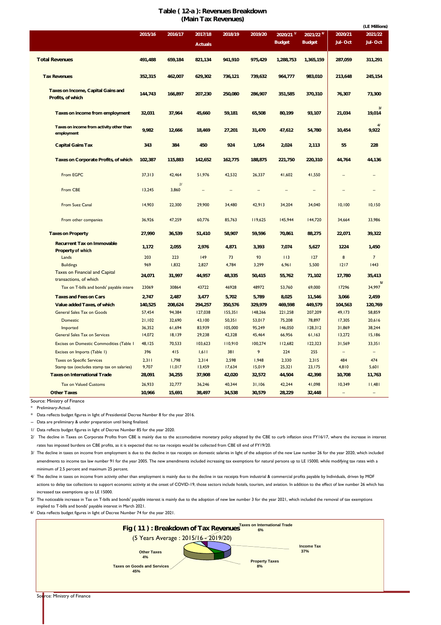## **Table ( 12-a ): Revenues Breakdown (Main Tax Revenues)**

|                                                                 |         |             |                           |         |         |                                          |                          |                          | (LE Millions)      |
|-----------------------------------------------------------------|---------|-------------|---------------------------|---------|---------|------------------------------------------|--------------------------|--------------------------|--------------------|
|                                                                 | 2015/16 | 2016/17     | 2017/18<br><b>Actuals</b> | 2018/19 | 2019/20 | $2020/21$ <sup>1/</sup><br><b>Budget</b> | 2021/22<br><b>Budget</b> | 2020/21<br>Jul-Oct       | 2021/22<br>Jul-Oct |
| <b>Total Revenues</b>                                           | 491,488 | 659,184     | 821,134                   | 941,910 | 975,429 | 1,288,753                                | 1,365,159                | 287,059                  | 311,291            |
| <b>Tax Revenues</b>                                             | 352,315 | 462,007     | 629,302                   | 736,121 | 739,632 | 964,777                                  | 983,010                  | 213,648                  | 245,154            |
| Taxes on Income, Capital Gains and<br>Profits, of which         | 144,743 | 166,897     | 207,230                   | 250,080 | 286,907 | 351,585                                  | 370,310                  | 76,307                   | 73,300             |
| Taxes on income from employment                                 | 32,031  | 37,964      | 45,660                    | 59,181  | 65,508  | 80,199                                   | 93,107                   | 21,034                   | 3I<br>19,014       |
| Taxes on income from activity other than<br>employment          | 9,982   | 12,666      | 18,469                    | 27,201  | 31,470  | 47,612                                   | 54,780                   | 10,454                   | 9,922              |
| <b>Capital Gains Tax</b>                                        | 343     | 384         | 450                       | 924     | 1,054   | 2,024                                    | 2,113                    | 55                       | 228                |
| Taxes on Corporate Profits, of which                            | 102,387 | 115,883     | 142,652                   | 162,775 | 188,875 | 221,750                                  | 220,310                  | 44,764                   | 44,136             |
| From EGPC                                                       | 37,313  | 42,464      | 51,976                    | 42,532  | 26,337  | 41,602                                   | 41,550                   |                          |                    |
| From CBE                                                        | 13,245  | 21<br>3,860 | ÷.                        | ÷.      | ÷.      | ä,                                       | $\sim$                   | $\overline{\phantom{a}}$ |                    |
| From Suez Canal                                                 | 14,903  | 22,300      | 29,900                    | 34,480  | 42,913  | 34,204                                   | 34,040                   | 10,100                   | 10,150             |
| From other companies                                            | 36,926  | 47,259      | 60,776                    | 85,763  | 119,625 | 145,944                                  | 144,720                  | 34,664                   | 33,986             |
| <b>Taxes on Property</b>                                        | 27,990  | 36,539      | 51,410                    | 58,907  | 59,596  | 70,861                                   | 88,275                   | 22,071                   | 39,322             |
| <b>Recurrent Tax on Immovable</b><br>Property of which          | 1,172   | 2,055       | 2,976                     | 4,871   | 3,393   | 7,074                                    | 5,627                    | 1224                     | 1,450              |
| Lands                                                           | 203     | 223         | 149                       | 73      | 93      | 113                                      | 127                      | 8                        | $\overline{7}$     |
| <b>Buildings</b>                                                | 969     | 1,832       | 2,827                     | 4,784   | 3,299   | 6,961                                    | 5,500                    | 1217                     | 1443               |
| <b>Taxes on Financial and Capital</b><br>transactions, of which | 24,071  | 31,997      | 44,957                    | 48,335  | 50,415  | 55,762                                   | 71,102                   | 17,780                   | 35,413<br>51       |
| Tax on T-bills and bonds' payable intere                        | 23069   | 30864       | 43722                     | 46928   | 48972   | 53,760                                   | 69,000                   | 17296                    | 34,997             |
| <b>Taxes and Fees on Cars</b>                                   | 2,747   | 2,487       | 3,477                     | 5,702   | 5,789   | 8,025                                    | 11,546                   | 3,066                    | 2,459              |
| Value added Taxes, of which                                     | 140,525 | 208,624     | 294,257                   | 350,576 | 329,979 | 469,598                                  | 449,579                  | 104,563                  | 120,769            |
| <b>General Sales Tax on Goods</b>                               | 57,454  | 94,384      | 127,038                   | 155,351 | 148,266 | 221,258                                  | 207,209                  | 49,173                   | 58,859             |
| Domestic                                                        | 21,102  | 32,690      | 43,100                    | 50,351  | 53,017  | 75,208                                   | 78,897                   | 17,305                   | 20,616             |
| Imported                                                        | 36,352  | 61,694      | 83,939                    | 105,000 | 95,249  | 146,050                                  | 128,312                  | 31,869                   | 38,244             |
| General Sales Tax on Services                                   | 14,072  | 18,139      | 29,238                    | 42,328  | 45,464  | 66,956                                   | 61,163                   | 13,272                   | 15,186             |
| Excises on Domestic Commodities (Table                          | 48,125  | 70,533      | 103,623                   | 110,910 | 100,274 | 112,682                                  | 122,323                  | 31,569                   | 33,351             |
| Excises on Imports (Table 1)                                    | 396     | 415         | 1,611                     | 381     | 9       | 224                                      | 255                      |                          |                    |
| <b>Taxes on Specific Services</b>                               | 2,311   | 1,798       | 2,314                     | 2,598   | 1,948   | 2,330                                    | 2,315                    | 484                      | 474                |
| Stamp tax (excludes stamp tax on salaries)                      | 9,707   | 11,017      | 13,459                    | 17,634  | 15,019  | 25,321                                   | 23,175                   | 4,810                    | 5,601              |
| <b>Taxes on International Trade</b>                             | 28,091  | 34,255      | 37,908                    | 42,020  | 32,572  | 44,504                                   | 42,398                   | 10,708                   | 11,763             |
| <b>Tax on Valued Customs</b>                                    | 26,933  | 32,777      | 36,246                    | 40,344  | 31,106  | 42,244                                   | 41,098                   | 10,349                   | 11,481             |
| <b>Other Taxes</b>                                              | 10,966  | 15,691      | 38,497                    | 34,538  | 30,579  | 28,229                                   | 32,448                   | $\ddotsc$                |                    |

Source: Ministry of Finance

\* Preliminary-Actual.

\* Data reflects budget figures in light of Presidential Decree Number 8 for the year 2016.

-- Data are preliminary & under preparation until being finalized.

1/ Data reflects budget figures in light of Decree Number 85 for the year 2020.

2/ The decline in Taxes on Corporate Profits from CBE is mainly due to the accomodative monetary policy adopted by the CBE to curb inflation since FY16/17, where the increase in interest rates has imposed burdens on CBE profits, as it is expected that no tax receipts would be collected from CBE till end of FY19/20.

3/ The decline in taxes on income from employment is due to the decline in tax receipts on domestic salaries in light of the adoption of the new Law number 26 for the year 2020, which included amendments to income tax law number 91 for the year 2005. The new amendments included increasing tax exemptions for natural persons up to LE 15000, while modifying tax rates with a minimum of 2.5 percent and maximum 25 percent.

4/ The decline in taxes on income from activity other than employment is mainly due to the decline in tax receipts from industrial & commercial profits payable by Individuals, driven by MOF actions to delay tax collections to support economic activity at the onset of COVID-19, those sectors include hotels, tourism, and aviation. In addition to the effect of law number 26 which has increased tax exemptions up to LE 15000.

5/ The noticeable increase in Tax on T-bills and bonds' payable interest is mainly due to the adoption of new law number 3 for the year 2021, which included the removal of tax exemptions implied to T-bills and bonds' payable interest in March 2021.

6/ Data reflects budget figures in light of Decree Number 74 for the year 2021.



Source: Ministry of Finance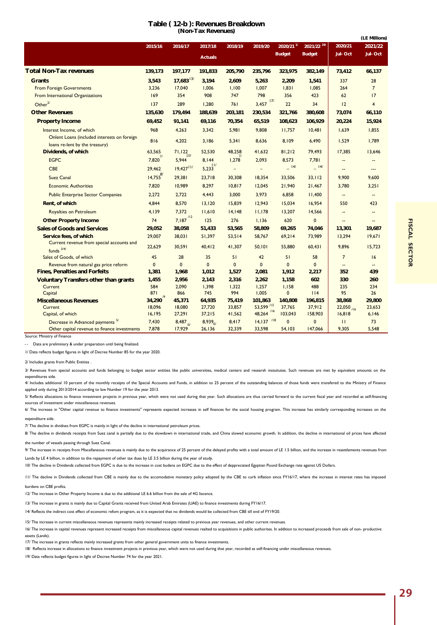| Table (12-b): Revenues Breakdown |
|----------------------------------|
| (Non-Tax Revenues)               |

|                                                           | 2015/16          | 2016/17                 | 2017/18          | 2018/19                  | 2019/20                  | $2020/21$ <sup>1/</sup> | 2021/22 19/       | 2020/21                  | 2021/22                  |
|-----------------------------------------------------------|------------------|-------------------------|------------------|--------------------------|--------------------------|-------------------------|-------------------|--------------------------|--------------------------|
|                                                           |                  |                         | <b>Actuals</b>   |                          |                          | <b>Budget</b>           | <b>Budget</b>     | Jul-Oct                  | Jul-Oct                  |
|                                                           |                  |                         |                  |                          |                          |                         |                   |                          |                          |
| <b>Total Non-Tax revenues</b>                             | 139,173          | 197,177                 | 191,833          | 205,790                  | 235,796                  | 323,975                 | 382,149           | 73,412                   | 66,137                   |
| <b>Grants</b>                                             | 3,543            | $17,683$ <sup>13/</sup> | 3,194            | 2,609                    | 5,263                    | 2,209                   | 1,541             | 337                      | 28                       |
| <b>From Foreign Governments</b>                           | 3,236            | 17,040                  | 1,006            | 1,100                    | 1,007                    | 1,831                   | 1,085             | 264                      | $7\overline{ }$          |
| From International Organizations                          | 169              | 354                     | 908              | 747                      | 798                      | 356                     | 423               | 62                       | 17                       |
| Other $^{2/}$                                             | 137              | 289                     | 1,280            | 761                      | $3,457$ $17/$            | 22                      | 34                | 12                       | $\overline{4}$           |
| <b>Other Revenues</b>                                     | 135,630          | 179,494                 | 188,639          | 203,181                  | 230,534                  | 321,766                 | 380,608           | 73,074                   | 66,110                   |
| <b>Property Income</b>                                    | 69,452           | 91,141                  | 69,116           | 70,354                   | 65,519                   | 108,623                 | 106,929           | 20,224                   | 15,924                   |
| Interest Income, of which                                 | 968              | 4,263                   | 3,342            | 5,981                    | 9,808                    | 11,757                  | 10,481            | 1,639                    | 1,855                    |
| Onlent Loans (included interests on foreign               | 816              | 4,202                   | 3,186            | 5,341                    | 8,636                    | 8,109                   | 6,490             | 1,529                    | 1,789                    |
| loans re-lent by the treasury)                            |                  |                         |                  |                          |                          |                         |                   |                          |                          |
| Dividends, of which                                       | 63,565<br>71     | 71,122<br>10/           | 52,530           | 48,258                   | 41,632                   | 81,212                  | 79,493            | 17,385                   | 13,646                   |
| <b>EGPC</b>                                               | 7,820            | 5,944                   | 8,144<br>11/     | 1,278                    | 2,093                    | 8,573                   | 7,781             |                          |                          |
| <b>CBE</b>                                                | 29,462           | $19,427$ <sup>11/</sup> | 5,233            | $\overline{\phantom{a}}$ | $\overline{\phantom{a}}$ | $-14/$                  | $=$ 14/           | $\overline{\phantom{a}}$ | ---                      |
| <b>Suez Canal</b>                                         | $14,755^{8/1}$   | 29,381                  | 23,718           | 30,308                   | 18,354                   | 33,506                  | 33,112            | 9,900                    | 9,600                    |
| <b>Economic Authorities</b>                               | 7,820            | 10,989                  | 8,297            | 10,817                   | 12,045                   | 21,940                  | 21,467            | 3,780                    | 3,251                    |
| <b>Public Enterprise Sector Companies</b>                 | 2,272            | 2,722                   | 4,443            | 3,000                    | 3,973                    | 6,858                   | 11,400            |                          |                          |
| Rent, of which                                            | 4,844            | 8,570                   | 13,120           | 15,839                   | 12,943                   | 15,034                  | 16,954            | 550                      | 423                      |
| Royalties on Petroleum                                    | 4,139            | 7.372                   | 11,610           | 14,148                   | 11,178                   | 13,207                  | 14,566            | $\overline{\phantom{a}}$ | $\overline{\phantom{a}}$ |
| <b>Other Property Income</b>                              | 74               | $7,187$ <sup>/12</sup>  | 125              | 276                      | 1,136                    | 620                     | $\mathbf 0$       | $\overline{a}$           | $\overline{a}$           |
| <b>Sales of Goods and Services</b>                        | 29,052           | 38,058                  | 51,433           | 53,565                   | 58,809                   | 69,265                  | 74,046            | 13,301                   | 19,687                   |
| Service fees, of which                                    | 29,007           | 38,031                  | 51,397           | 53,514                   | 58,767                   | 69,214                  | 73,989            | 13,294                   | 19,671                   |
| Current revenue from special accounts and<br>funds $3/4/$ | 22,629           | 30,591                  | 40,412           | 41,307                   | 50,101                   | 55,880                  | 60,431            | 9,896                    | 15,723                   |
| Sales of Goods, of which                                  | 45               | 28                      | 35               | 51                       | 42                       | 51                      | 58                | $\overline{7}$           | 16                       |
| Revenue from natural gas price reform                     | 0                | $\mathbf 0$             | $\mathbf{0}$     | $\mathbf{0}$             | $\mathbf{0}$             | $\mathbf{0}$            | $\mathbf{0}$      | $-$                      |                          |
| <b>Fines, Penalties and Forfeits</b>                      | 1,381            | 1,968                   | 1,012            | 1,527                    | 2,081                    | 1,912                   | 2,217             | 352                      | 439                      |
| <b>Voluntary Transfers other than grants</b>              | 1,455            | 2,956                   | 2,143            | 2,316                    | 2,262                    | 1,158                   | 602               | 330                      | 260                      |
| Current                                                   | 584              | 2,090                   | 1,398            | 1,322                    | 1,257                    | 1,158                   | 488               | 235                      | 234                      |
| Capital                                                   | 871              | 866                     | 745              | 994                      | 1,005                    | 0                       | 114               | 95                       | 26                       |
| <b>Miscellaneous Revenues</b><br>Current                  | 34,290<br>18,096 | 45,371<br>18,080        | 64,935<br>27,720 | 75,419<br>33,857         | 101,863<br>53,599 /15    | 140,808<br>37,765       | 196,815<br>37,912 | 38,868<br>22,050 /16     | 29,800<br>23,653         |
| Capital, of which                                         | 16,195           | 27,291                  | 37,215           | 41,562                   | /16<br>48,264            | 103,043                 | 158,903           | 16,818                   | 6,146                    |
| Decrease in Advanced payments 5/                          | 7,430            | $8,487$ 6/              | $8,939_{6}$      | 8,417                    | $14,137$ /18             | $\mathbf 0$             | $\mathbf 0$       | П                        | 73                       |
| Other capital revenue to finance investments              | 7,878            | 17,929                  | 26, 136          | 32,339                   | 33,598                   | 54,103                  | 147,066           | 9,305                    | 5,548                    |

Source: Ministry of Finance

Data are preliminary & under preparation until being finalized. **- -**

1/ Data reflects budget figures in light of Decree Number 85 for the year 2020.

2/ Includes grants from Public Entities .

3/ Revenues from special accounts and funds belonging to budget sector entities like public universities, medical centers and researsh instuitutes. Such revenues are met by equivalent amounts on the expenditures side.

4/ Includes additional 10 percent of the monthly receipts of the Special Accounts and Funds, in addition to 25 percent of the outstanding balances of those funds were transfered to the Ministry of Finance applied only during 2013/2014 according to law Number 19 for the year 2013.

5/ Reflects allocations to finance investment projects in previous year, which were not used during that year. Such allocations are thus carried forward to the current fiscal year and recorded as self-financing sources of investment under miscellaneous revenues.

6/ The increase in "Other capital revenue to finance investments" represents expected increases in self finances for the social housing program. This increase has similarly corresponding increases on the expenditure side.

7/ The decline in dividnes from EGPC is mainly in light of the decline in international petroleum prices.

8/ The decline in dividends receipts from Suez canal is partially due to the slowdown in international trade, and China slowed economic growth. In addition, the decline in international oil prices have affected

the number of vessels passing through Suez Canal.

9/ The increase in receipts from Miscellaneous revenues is mainly due to the acquirance of 25 percent of the delayed profits with a total amount of LE 1.5 billion, and the increase in resettlements revenues from Lands by LE 4 billion, in addition to the repayment of other tax dues by LE 3.5 billion during the year of study.

10/ The decline in Dividends collected from EGPC is due to the increase in cost budens on EGPC due to the effect of deppreciated Egyptian Pound Exchange rate against US Dollars.

11/ The decline in Dividends collected from CBE is mainly due to the accomodative monetary policy adopted by the CBE to curb inflation since FY16/17, where the increase in interest rates has imposed

burdens on CBE profits.

12/ The increase in Other Property Income is due to the additional LE 6.6 billion from the sale of 4G liscence.

13/ The increase in grants is mainly due to Capital Grants received from United Arab Emirates (UAE) to finance investments during FY16/17.

14/ Reflects the indirect cost effect of economic refom program, as it is expected that no dividends would be collected from CBE till end of FY19/20.

15/ The increase in current miscellaneous revenues represents mainly increased receipts related to previous year revenues, and other current revenues.

16/ The increase in capital revenues represent increased receipts from miscellaneous capital revenues realted to acquisitions in public authorites. In addition to increased proceeds from sale of non- productive assets (Lands).

17/ The increase in grants reflects mainly increased grants from other general government units to finance investments.

18/ Reflects increase in allocations to finance investment projects in previous year, which were not used during that year, recorded as self-financing under miscellaneous revenues.

19/ Data reflects budget figures in light of Decree Number 74 for the year 2021.

**(LE Millions)**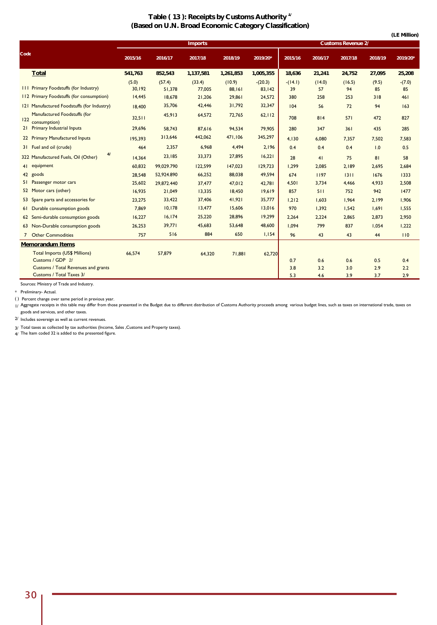## **Table ( 13 ): Receipts by Customs Authority 1/ (Based on U.N. Broad Economic Category Classification)**

|      |                                                                        |                 |                  |                  |                  |                     |                 |              |                           |             | (LE Million)   |
|------|------------------------------------------------------------------------|-----------------|------------------|------------------|------------------|---------------------|-----------------|--------------|---------------------------|-------------|----------------|
|      |                                                                        |                 |                  | <b>Imports</b>   |                  |                     |                 |              | <b>Customs Revenue 2/</b> |             |                |
| Code |                                                                        | 2015/16         | 2016/17          | 2017/18          | 2018/19          | 2019/20*            | 2015/16         | 2016/17      | 2017/18                   | 2018/19     | 2019/20*       |
|      | <b>Total</b>                                                           | 541,763         | 852,543          | 1,137,581        | 1,261,853        | 1,005,355           | 18,636          | 21,241       | 24,752                    | 27,095      | 25,208         |
|      | <b>III Primary Foodstuffs (for Industry)</b>                           | (5.0)<br>30,192 | (57.4)<br>51,378 | (33.4)<br>77,005 | (10.9)<br>88,161 | $-(20.3)$<br>83,142 | $-(14.1)$<br>39 | (14.0)<br>57 | (16.5)<br>94              | (9.5)<br>85 | $-(7.0)$<br>85 |
|      | 112 Primary Foodstuffs (for consumption)                               | 14,445          | 18.678           | 21,206           | 29,861           | 24,572              | 380             | 258          | 253                       | 318         | 461            |
|      | 121 Manufactured Foodstuffs (for Industry)                             | 18,400          | 35,706           | 42,446           | 31,792           | 32,347              | 104             | 56           | 72                        | 94          | 163            |
| 122  | Manufactured Foodstuffs (for<br>consumption)                           | 32,511          | 45,913           | 64,572           | 72,765           | 62, 112             | 708             | 814          | 571                       | 472         | 827            |
|      | 21 Primary Industrial Inputs                                           | 29.696          | 58,743           | 87,616           | 94,534           | 79,905              | 280             | 347          | 361                       | 435         | 285            |
|      | 22 Primary Manufactured Inputs                                         | 195,393         | 313,646          | 442,062          | 471,106          | 345,297             | 4,130           | 6,080        | 7,357                     | 7,502       | 7,583          |
|      | 31 Fuel and oil (crude)                                                | 464             | 2,357            | 6,968            | 4,494            | 2,196               | 0.4             | 0.4          | 0.4                       | 1.0         | 0.5            |
|      | 41<br>322 Manufactured Fuels, Oil (Other)                              | 14.364          | 23,185           | 33,373           | 27,895           | 16,221              | 28              | 41           | 75                        | 81          | 58             |
|      | 41 equipment                                                           | 60,832          | 99,029.790       | 122,599          | 147,023          | 129,723             | 1,299           | 2,085        | 2,189                     | 2,695       | 2,684          |
|      | 42 goods                                                               | 28,548          | 52,924.890       | 66,252           | 88,038           | 49,594              | 674             | 1197         | 1311                      | 1676        | 1333           |
|      | 51 Passenger motor cars                                                | 25,602          | 29,872.440       | 37,477           | 47,012           | 42,781              | 4.501           | 3,734        | 4,466                     | 4,933       | 2,508          |
|      | 52 Motor cars (other)                                                  | 16,935          | 21,049           | 13,335           | 18,450           | 19,619              | 857             | 511          | 752                       | 942         | 1477           |
|      | 53 Spare parts and accessories for                                     | 23,275          | 33,422           | 37,406           | 41,921           | 35,777              | 1,212           | 1,603        | 1,964                     | 2,199       | 1,906          |
|      | 61 Durable consumption goods                                           | 7.869           | 10,178           | 13,477           | 15,606           | 13,016              | 970             | 1,392        | 1,542                     | 1,691       | 1,555          |
|      | 62 Semi-durable consumption goods                                      | 16,227          | 16, 174          | 25,220           | 28,896           | 19,299              | 2,264           | 2,224        | 2,865                     | 2,873       | 2,950          |
|      | 63 Non-Durable consumption goods                                       | 26,253          | 39,771           | 45,683           | 53,648           | 48,600              | 1.094           | 799          | 837                       | 1,054       | 1,222          |
|      | 7 Other Commodities                                                    | 757             | 516              | 884              | 650              | 1,154               | 96              | 43           | 43                        | 44          | 110            |
|      | <b>Memorandum Items</b>                                                |                 |                  |                  |                  |                     |                 |              |                           |             |                |
|      | <b>Total Imports (US\$ Millions)</b><br>Customs / GDP 2/               | 66,574          | 57,879           | 64,320           | 71,881           | 62,720              | 0.7             | 0.6          | 0.6                       | 0.5         | 0.4            |
|      | <b>Customs / Total Revenues and grants</b><br>Customs / Total Taxes 3/ |                 |                  |                  |                  |                     | 3.8<br>5.3      | 3.2<br>4.6   | 3.0<br>3.9                | 2.9<br>3.7  | 2.2<br>2.9     |
|      |                                                                        |                 |                  |                  |                  |                     |                 |              |                           |             |                |

Sources: Ministry of Trade and Industry.

\* Preliminary- Actual.

( ) Percent change over same period in previous year.

<sub>1/</sub> Aggregate receipts in this table may differ from those presented in the Budget due to different distribution of Customs Authority proceeds among various budget lines, such as taxes on international trade, taxes on goods and services, and other taxes.

2/ Includes sovereign as well as current revenues.

3/ Total taxes as collected by tax authorities (Income, Sales ,Customs and Property taxes).

4/ The Item coded 32 is added to the presented figure.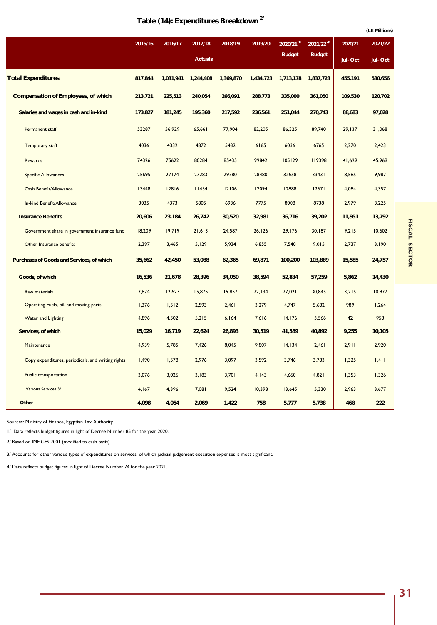|                                                    |         |           |                |           |           |                         |                 |         | (LE Millions) |
|----------------------------------------------------|---------|-----------|----------------|-----------|-----------|-------------------------|-----------------|---------|---------------|
|                                                    | 2015/16 | 2016/17   | 2017/18        | 2018/19   | 2019/20   | $2020/21$ <sup>1/</sup> | $2021/22^{4/2}$ | 2020/21 | 2021/22       |
|                                                    |         |           | <b>Actuals</b> |           |           | <b>Budget</b>           | <b>Budget</b>   | Jul-Oct | Jul-Oct       |
| <b>Total Expenditures</b>                          | 817,844 | 1,031,941 | 1,244,408      | 1,369,870 | 1,434,723 | 1,713,178               | 1,837,723       | 455,191 | 530,656       |
| <b>Compensation of Employees, of which</b>         | 213,721 | 225,513   | 240,054        | 266,091   | 288,773   | 335,000                 | 361,050         | 109,530 | 120,702       |
| Salaries and wages in cash and in-kind             | 173,827 | 181,245   | 195,360        | 217,592   | 236,561   | 251,044                 | 270,743         | 88,683  | 97,028        |
| Permanent staff                                    | 53287   | 56,929    | 65,661         | 77,904    | 82,205    | 86,325                  | 89,740          | 29,137  | 31,068        |
| <b>Temporary staff</b>                             | 4036    | 4332      | 4872           | 5432      | 6165      | 6036                    | 6765            | 2,270   | 2,423         |
| <b>Rewards</b>                                     | 74326   | 75622     | 80284          | 85435     | 99842     | 105129                  | 119398          | 41,629  | 45,969        |
| <b>Specific Allowances</b>                         | 25695   | 27174     | 27283          | 29780     | 28480     | 32658                   | 33431           | 8,585   | 9,987         |
| Cash Benefit/Allowance                             | 13448   | 12816     | 11454          | 12106     | 12094     | 12888                   | 12671           | 4,084   | 4,357         |
| In-kind Benefit/Allowance                          | 3035    | 4373      | 5805           | 6936      | 7775      | 8008                    | 8738            | 2,979   | 3,225         |
| <b>Insurance Benefits</b>                          | 20,606  | 23,184    | 26,742         | 30,520    | 32,981    | 36,716                  | 39,202          | 11,951  | 13,792        |
| Government share in government insurance fund      | 18,209  | 19,719    | 21,613         | 24,587    | 26, 126   | 29,176                  | 30,187          | 9,215   | 10,602        |
| Other Insurance benefits                           | 2,397   | 3,465     | 5,129          | 5,934     | 6,855     | 7,540                   | 9,015           | 2,737   | 3,190         |
| Purchases of Goods and Services, of which          | 35,662  | 42,450    | 53,088         | 62,365    | 69,871    | 100,200                 | 103,889         | 15,585  | 24,757        |
| Goods, of which                                    | 16,536  | 21,678    | 28,396         | 34,050    | 38,594    | 52,834                  | 57,259          | 5,862   | 14,430        |
| Raw materials                                      | 7,874   | 12,623    | 15,875         | 19,857    | 22,134    | 27,021                  | 30,845          | 3,215   | 10,977        |
| Operating Fuels, oil, and moving parts             | 1,376   | 1,512     | 2,593          | 2,461     | 3,279     | 4,747                   | 5,682           | 989     | 1,264         |
| <b>Water and Lighting</b>                          | 4,896   | 4,502     | 5,215          | 6,164     | 7,616     | 14, 176                 | 13,566          | 42      | 958           |
| Services, of which                                 | 15,029  | 16,719    | 22,624         | 26,893    | 30,519    | 41,589                  | 40,892          | 9,255   | 10,105        |
| Maintenance                                        | 4,939   | 5,785     | 7,426          | 8,045     | 9,807     | 14, 134                 | 12,461          | 2,911   | 2,920         |
| Copy expenditures, periodicals, and writing rights | 1,490   | 1,578     | 2,976          | 3,097     | 3,592     | 3,746                   | 3,783           | 1,325   | 1,411         |
| Public transportation                              | 3,076   | 3,026     | 3,183          | 3,701     | 4,143     | 4,660                   | 4,821           | 1,353   | 1,326         |
| Various Services 3/                                | 4,167   | 4,396     | 7,081          | 9,524     | 10,398    | 13,645                  | 15,330          | 2,963   | 3,677         |
| Other                                              | 4,098   | 4,054     | 2,069          | 1,422     | 758       | 5,777                   | 5,738           | 468     | 222           |

Sources: Ministry of Finance, Egyptian Tax Authority

1/ Data reflects budget figures in light of Decree Number 85 for the year 2020.

2/ Based on IMF GFS 2001 (modified to cash basis).

3/ Accounts for other various types of expenditures on services, of which judicial judgement execution expenses is most significant.

4/ Data reflects budget figures in light of Decree Number 74 for the year 2021.